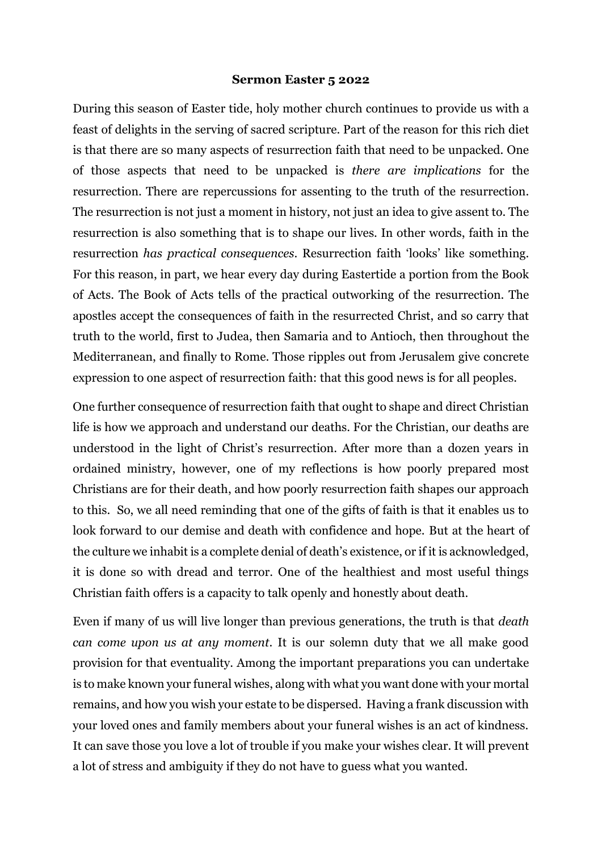## **Sermon Easter 5 2022**

During this season of Easter tide, holy mother church continues to provide us with a feast of delights in the serving of sacred scripture. Part of the reason for this rich diet is that there are so many aspects of resurrection faith that need to be unpacked. One of those aspects that need to be unpacked is *there are implications* for the resurrection. There are repercussions for assenting to the truth of the resurrection. The resurrection is not just a moment in history, not just an idea to give assent to. The resurrection is also something that is to shape our lives. In other words, faith in the resurrection *has practical consequences*. Resurrection faith 'looks' like something. For this reason, in part, we hear every day during Eastertide a portion from the Book of Acts. The Book of Acts tells of the practical outworking of the resurrection. The apostles accept the consequences of faith in the resurrected Christ, and so carry that truth to the world, first to Judea, then Samaria and to Antioch, then throughout the Mediterranean, and finally to Rome. Those ripples out from Jerusalem give concrete expression to one aspect of resurrection faith: that this good news is for all peoples.

One further consequence of resurrection faith that ought to shape and direct Christian life is how we approach and understand our deaths. For the Christian, our deaths are understood in the light of Christ's resurrection. After more than a dozen years in ordained ministry, however, one of my reflections is how poorly prepared most Christians are for their death, and how poorly resurrection faith shapes our approach to this. So, we all need reminding that one of the gifts of faith is that it enables us to look forward to our demise and death with confidence and hope. But at the heart of the culture we inhabit is a complete denial of death's existence, or if it is acknowledged, it is done so with dread and terror. One of the healthiest and most useful things Christian faith offers is a capacity to talk openly and honestly about death.

Even if many of us will live longer than previous generations, the truth is that *death can come upon us at any moment*. It is our solemn duty that we all make good provision for that eventuality. Among the important preparations you can undertake is to make known your funeral wishes, along with what you want done with your mortal remains, and how you wish your estate to be dispersed. Having a frank discussion with your loved ones and family members about your funeral wishes is an act of kindness. It can save those you love a lot of trouble if you make your wishes clear. It will prevent a lot of stress and ambiguity if they do not have to guess what you wanted.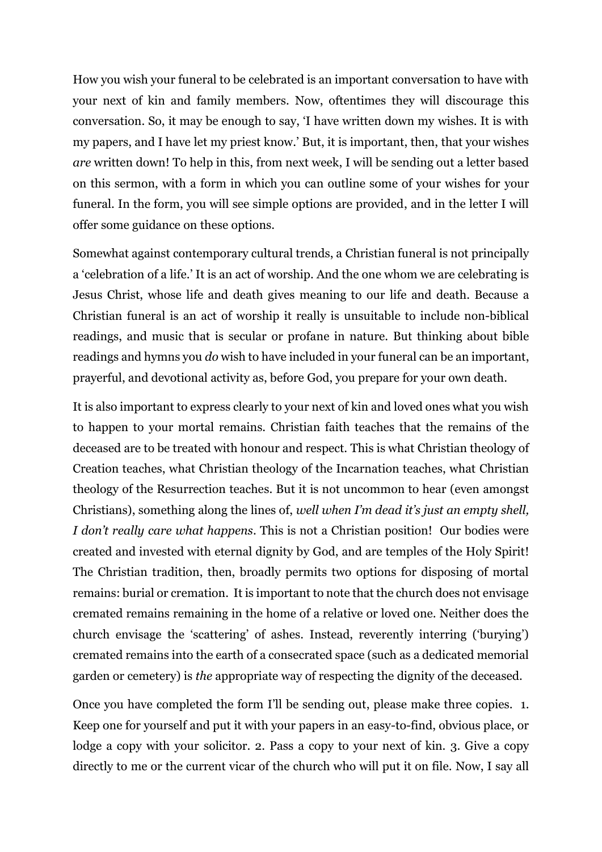How you wish your funeral to be celebrated is an important conversation to have with your next of kin and family members. Now, oftentimes they will discourage this conversation. So, it may be enough to say, 'I have written down my wishes. It is with my papers, and I have let my priest know.' But, it is important, then, that your wishes *are* written down! To help in this, from next week, I will be sending out a letter based on this sermon, with a form in which you can outline some of your wishes for your funeral. In the form, you will see simple options are provided, and in the letter I will offer some guidance on these options.

Somewhat against contemporary cultural trends, a Christian funeral is not principally a 'celebration of a life.' It is an act of worship. And the one whom we are celebrating is Jesus Christ, whose life and death gives meaning to our life and death. Because a Christian funeral is an act of worship it really is unsuitable to include non-biblical readings, and music that is secular or profane in nature. But thinking about bible readings and hymns you *do* wish to have included in your funeral can be an important, prayerful, and devotional activity as, before God, you prepare for your own death.

It is also important to express clearly to your next of kin and loved ones what you wish to happen to your mortal remains. Christian faith teaches that the remains of the deceased are to be treated with honour and respect. This is what Christian theology of Creation teaches, what Christian theology of the Incarnation teaches, what Christian theology of the Resurrection teaches. But it is not uncommon to hear (even amongst Christians), something along the lines of, *well when I'm dead it's just an empty shell, I don't really care what happens*. This is not a Christian position! Our bodies were created and invested with eternal dignity by God, and are temples of the Holy Spirit! The Christian tradition, then, broadly permits two options for disposing of mortal remains: burial or cremation. It is important to note that the church does not envisage cremated remains remaining in the home of a relative or loved one. Neither does the church envisage the 'scattering' of ashes. Instead, reverently interring ('burying') cremated remains into the earth of a consecrated space (such as a dedicated memorial garden or cemetery) is *the* appropriate way of respecting the dignity of the deceased.

Once you have completed the form I'll be sending out, please make three copies. 1. Keep one for yourself and put it with your papers in an easy-to-find, obvious place, or lodge a copy with your solicitor. 2. Pass a copy to your next of kin. 3. Give a copy directly to me or the current vicar of the church who will put it on file. Now, I say all